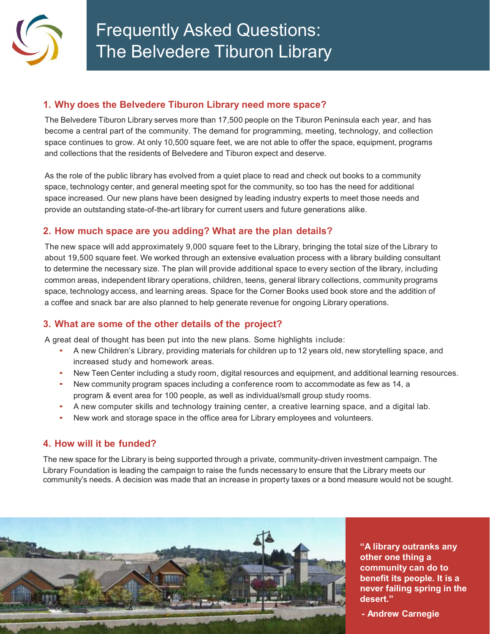

## **1. Why does the Belvedere Tiburon Library need more space?**

The Belvedere Tiburon Library serves more than 17,500 people on the Tiburon Peninsula each year, and has become a central part of the community. The demand for programming, meeting, technology, and collection space continues to grow. At only 10,500 square feet, we are not able to offer the space, equipment, programs and collections that the residents of Belvedere and Tiburon expect and deserve.

As the role of the public library has evolved from a quiet place to read and check out books to a community space, technology center, and general meeting spot for the community, so too has the need for additional space increased. Our new plans have been designed by leading industry experts to meet those needs and provide an outstanding state-of-the-art library for current users and future generations alike.

#### **2. How much space are you adding? What are the plan details?**

The new space will add approximately 9,000 square feet to the Library, bringing the total size of the Library to about 19,500 square feet. We worked through an extensive evaluation process with a library building consultant to determine the necessary size. The plan will provide additional space to every section of the library, including common areas, independent library operations, children, teens, general library collections, community programs space, technology access, and learning areas. Space for the Corner Books used book store and the addition of a coffee and snack bar are also planned to help generate revenue for ongoing Library operations.

## **3. What are some of the other details of the project?**

A great deal of thought has been put into the new plans. Some highlights include:

- A new Children's Library, providing materials for children up to 12 years old, new storytelling space, and increased study and homework areas.
- New Teen Center including a study room, digital resources and equipment, and additional learning resources.
- New community program spaces including a conference room to accommodate as few as 14, a program & event area for 100 people, as well as individual/small group study rooms.
- A new computer skills and technology training center, a creative learning space, and a digital lab.
- New work and storage space in the office area for Library employees and volunteers.

#### **4. How will it be funded?**

The new space for the Library is being supported through a private, community-driven investment campaign. The Library Foundation is leading the campaign to raise the funds necessary to ensure that the Library meets our community's needs. A decision was made that an increase in property taxes or a bond measure would not be sought.



**"A library outranks any other one thing a community can do to benefit its people. It is a never failing spring in the desert."**

**- Andrew Carnegie**